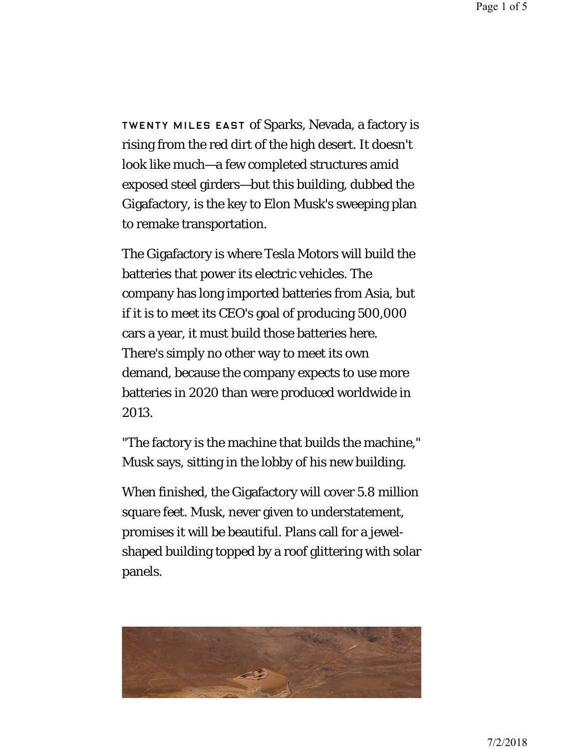## [THIS IS THE ENORMOUS GIGAFACTORY,](https://www.wired.com/2016/07/tesla-gigafactory-elon-musk/) WHERE TESLA WILL BUILD ITS FUTURE

TWENTY MILES EAST of Sparks, Nevada, a factory is rising from the red dirt of the high desert. It doesn't look like much—a few completed structures amid exposed steel girders—but this building, dubbed the Gigafactory, is the key to Elon Musk's sweeping plan to remake transportation.

The Gigafactory is where Tesla Motors will build the batteries that power its electric vehicles. The company has long imported batteries from Asia, but if it is to meet its CEO's goal of producing 500,000 cars a year, it must build those batteries here. There's simply no other way to meet its own demand, because the company expects to use more batteries in 2020 than were produced worldwide in 2013.

"The factory is the machine that builds the machine," Musk says, sitting in the lobby of his new building.

When finished, the Gigafactory will cover 5.8 million square feet. Musk, never given to understatement, promises it will be beautiful. Plans call for a jewelshaped building topped by a roof glittering with solar panels.



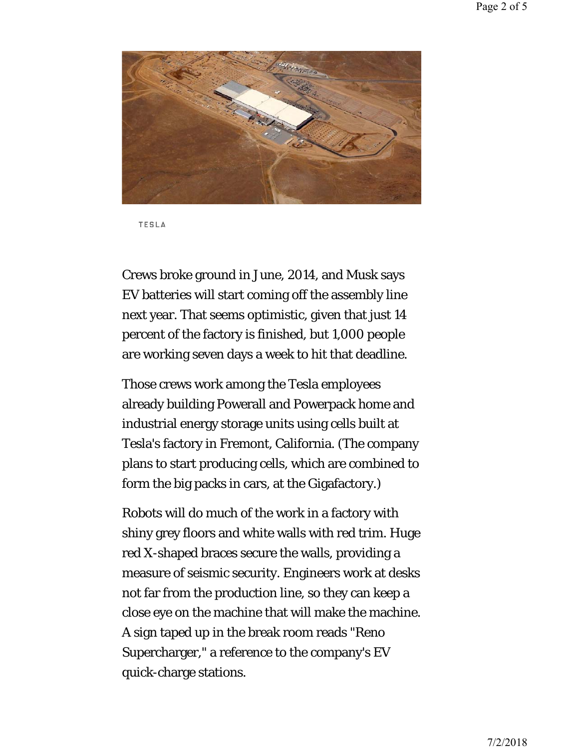

**TESLA** 

Crews broke ground in June, 2014, and Musk says EV batteries will start coming off the assembly line next year. That seems optimistic, given that just 14 percent of the factory is finished, but 1,000 people are working seven days a week to hit that deadline.

Those crews work among the Tesla employees already building Powerall and Powerpack home and industrial energy storage units using cells built at Tesla's factory in Fremont, California. (The company plans to start producing cells, which are combined to form the big packs in cars, at the Gigafactory.)

Robots will do much of the work in a factory with shiny grey floors and white walls with red trim. Huge red X-shaped braces secure the walls, providing a measure of seismic security. Engineers work at desks not far from the production line, so they can keep a close eye on the machine that will make the machine. A sign taped up in the break room reads "Reno Supercharger," a reference to the company's EV quick-charge stations.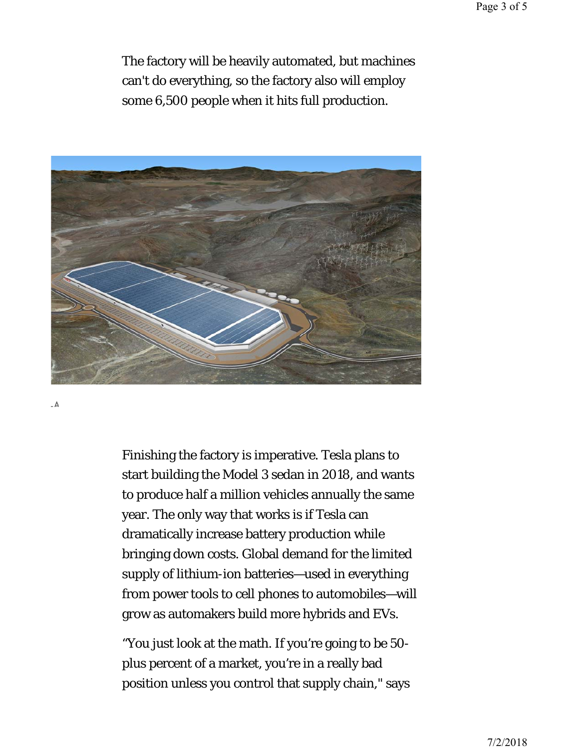The factory will be heavily automated, but machines can't do everything, so the factory also will employ some 6,500 people when it hits full production.



 $\mathbb A$ 

Finishing the factory is imperative. Tesla plans to start building the Model 3 sedan in 2018, and wants to produce half a million vehicles annually the same year. The only way that works is if Tesla can dramatically increase battery production while bringing down costs. Global demand for the limited supply of lithium-ion batteries—used in everything from power tools to cell phones to automobiles—will grow as automakers build more hybrids and EVs.

"You just look at the math. If you're going to be 50 plus percent of a market, you're in a really bad position unless you control that supply chain," says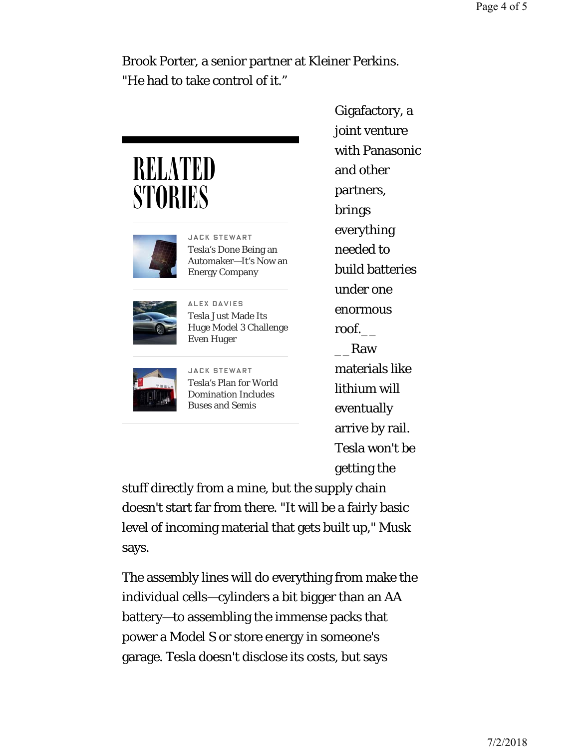Brook Porter, a senior partner at Kleiner Perkins. "He had to take control of it."

## RELATED **STORIES**



JACK STEWART Tesla's Done Being an Automaker—It's Now an Energy Company



ALEX DAVIES Tesla Just Made Its Huge Model 3 Challenge Even Huger



JACK STEWART Tesla's Plan for World Domination Includes Buses and Semis

Gigafactory, a joint venture with Panasonic and other partners, brings everything needed to build batteries under one enormous roof.\_\_ \_\_Raw materials like lithium will eventually arrive by rail. Tesla won't be getting the

stuff directly from a mine, but the supply chain doesn't start far from there. "It will be a fairly basic level of incoming material that gets built up," Musk says.

The assembly lines will do everything from make the individual cells—cylinders a bit bigger than an AA battery—to assembling the immense packs that power a Model S or store energy in someone's garage. Tesla doesn't disclose its costs, but says